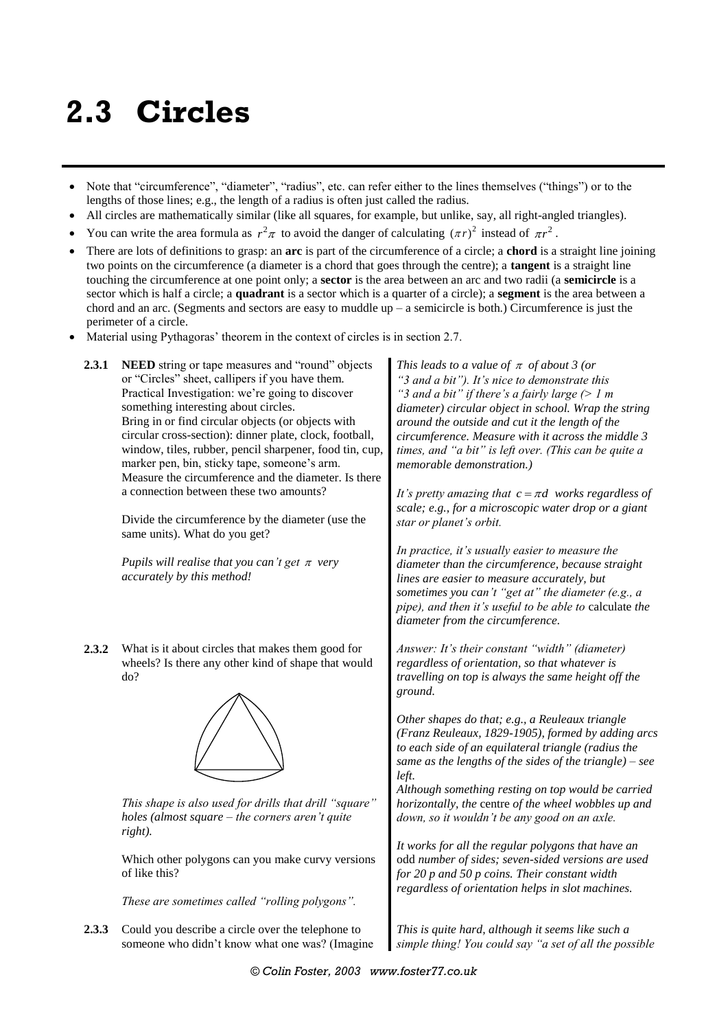## **2.3 Circles**

- Note that "circumference", "diameter", "radius", etc. can refer either to the lines themselves ("things") or to the lengths of those lines; e.g., the length of a radius is often just called the radius.
- All circles are mathematically similar (like all squares, for example, but unlike, say, all right-angled triangles).
- You can write the area formula as  $r^2 \pi$  to avoid the danger of calculating  $(\pi r)^2$  instead of  $\pi r^2$ .
- There are lots of definitions to grasp: an **arc** is part of the circumference of a circle; a **chord** is a straight line joining two points on the circumference (a diameter is a chord that goes through the centre); a **tangent** is a straight line touching the circumference at one point only; a **sector** is the area between an arc and two radii (a **semicircle** is a sector which is half a circle; a **quadrant** is a sector which is a quarter of a circle); a **segment** is the area between a chord and an arc. (Segments and sectors are easy to muddle  $up - a$  semicircle is both.) Circumference is just the perimeter of a circle.
- Material using Pythagoras' theorem in the context of circles is in section 2.7.
	- **2.3.1 NEED** string or tape measures and "round" objects or "Circles" sheet, callipers if you have them. Practical Investigation: we're going to discover something interesting about circles. Bring in or find circular objects (or objects with circular cross-section): dinner plate, clock, football, window, tiles, rubber, pencil sharpener, food tin, cup, marker pen, bin, sticky tape, someone's arm. Measure the circumference and the diameter. Is there a connection between these two amounts?

Divide the circumference by the diameter (use the same units). What do you get?

*Pupils will realise that you can't get*  $\pi$  very *accurately by this method!*

**2.3.2** What is it about circles that makes them good for wheels? Is there any other kind of shape that would do?



*This shape is also used for drills that drill "square" holes (almost square – the corners aren't quite right).*

Which other polygons can you make curvy versions of like this?

*These are sometimes called "rolling polygons".*

**2.3.3** Could you describe a circle over the telephone to someone who didn't know what one was? (Imagine

*This leads to a value of*  $\pi$  *of about 3 (or "3 and a bit"). It's nice to demonstrate this "3 and a bit" if there's a fairly large (> 1 m diameter) circular object in school. Wrap the string around the outside and cut it the length of the circumference. Measure with it across the middle 3 times, and "a bit" is left over. (This can be quite a memorable demonstration.)*

It's pretty amazing that  $c = \pi d$  works regardless of *scale; e.g., for a microscopic water drop or a giant star or planet's orbit.*

*In practice, it's usually easier to measure the diameter than the circumference, because straight lines are easier to measure accurately, but sometimes you can't "get at" the diameter (e.g., a pipe), and then it's useful to be able to* calculate *the diameter from the circumference.*

*Answer: It's their constant "width" (diameter) regardless of orientation, so that whatever is travelling on top is always the same height off the ground.*

*Other shapes do that; e.g., a Reuleaux triangle (Franz Reuleaux, 1829-1905), formed by adding arcs to each side of an equilateral triangle (radius the same as the lengths of the sides of the triangle) – see left.*

*Although something resting on top would be carried horizontally, the* centre *of the wheel wobbles up and down, so it wouldn't be any good on an axle.*

*It works for all the regular polygons that have an*  odd *number of sides; seven-sided versions are used for 20 p and 50 p coins. Their constant width regardless of orientation helps in slot machines.*

*This is quite hard, although it seems like such a simple thing! You could say "a set of all the possible*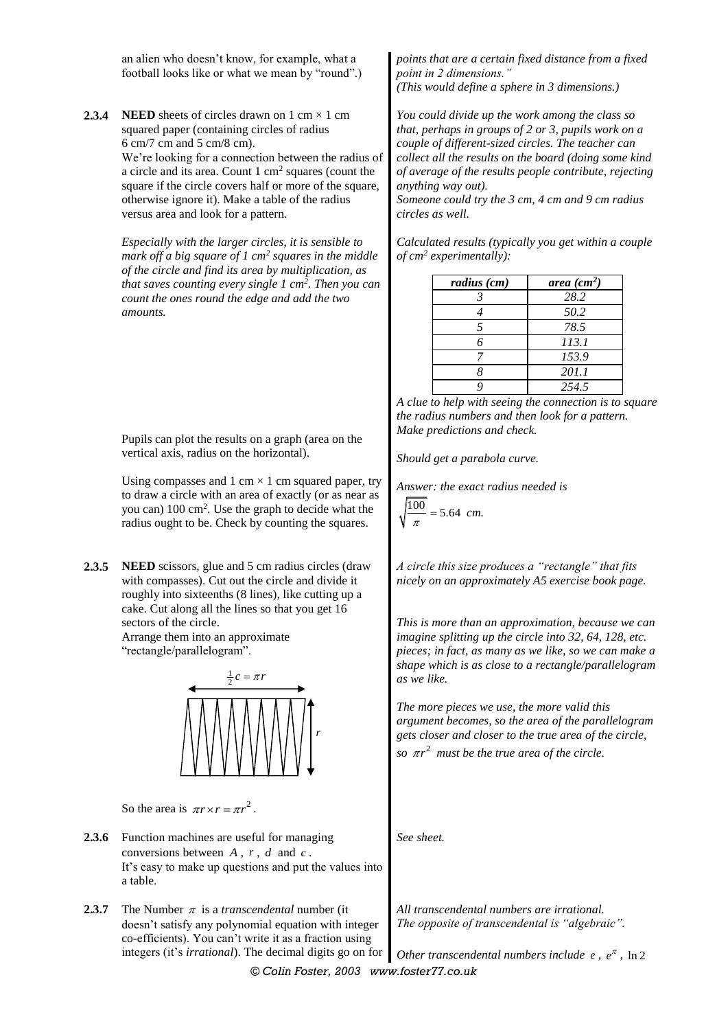an alien who doesn't know, for example, what a football looks like or what we mean by "round".)

**2.3.4 NEED** sheets of circles drawn on  $1 \text{ cm} \times 1 \text{ cm}$ squared paper (containing circles of radius 6 cm/7 cm and 5 cm/8 cm). We're looking for a connection between the radius of a circle and its area. Count 1 cm<sup>2</sup> squares (count the

square if the circle covers half or more of the square, otherwise ignore it). Make a table of the radius versus area and look for a pattern.

*Especially with the larger circles, it is sensible to mark off a big square of 1 cm<sup>2</sup> squares in the middle of the circle and find its area by multiplication, as that saves counting every single 1 cm<sup>2</sup> . Then you can count the ones round the edge and add the two amounts.*

Pupils can plot the results on a graph (area on the vertical axis, radius on the horizontal).

Using compasses and 1 cm  $\times$  1 cm squared paper, try to draw a circle with an area of exactly (or as near as you can) 100 cm<sup>2</sup> . Use the graph to decide what the radius ought to be. Check by counting the squares.

**2.3.5 NEED** scissors, glue and 5 cm radius circles (draw with compasses). Cut out the circle and divide it roughly into sixteenths (8 lines), like cutting up a cake. Cut along all the lines so that you get 16 sectors of the circle.

Arrange them into an approximate "rectangle/parallelogram".



So the area is  $\pi r \times r = \pi r^2$ .

- **2.3.6** Function machines are useful for managing conversions between  $A$ ,  $r$ ,  $d$  and  $c$ . It's easy to make up questions and put the values into a table.
- **2.3.7** The Number  $\pi$  is a *transcendental* number (it doesn't satisfy any polynomial equation with integer co-efficients). You can't write it as a fraction using integers (it's *irrational*). The decimal digits go on for

*points that are a certain fixed distance from a fixed point in 2 dimensions." (This would define a sphere in 3 dimensions.)*

*You could divide up the work among the class so that, perhaps in groups of 2 or 3, pupils work on a couple of different-sized circles. The teacher can collect all the results on the board (doing some kind of average of the results people contribute, rejecting anything way out).*

*Someone could try the 3 cm, 4 cm and 9 cm radius circles as well.*

*Calculated results (typically you get within a couple of cm<sup>2</sup> experimentally):*

| radius (cm) | area $(cm^2)$ |
|-------------|---------------|
|             | 28.2          |
|             | 50.2          |
|             | 78.5          |
| 6           | 113.1         |
|             | 153.9         |
|             | 201.1         |
|             | 2.54.5        |

*A clue to help with seeing the connection is to square the radius numbers and then look for a pattern. Make predictions and check.*

*Should get a parabola curve.*

*Answer: the exact radius needed is*

$$
\sqrt{\frac{100}{\pi}} = 5.64 \ \text{cm}.
$$

*A circle this size produces a "rectangle" that fits nicely on an approximately A5 exercise book page.*

*This is more than an approximation, because we can imagine splitting up the circle into 32, 64, 128, etc. pieces; in fact, as many as we like, so we can make a shape which is as close to a rectangle/parallelogram as we like.*

*The more pieces we use, the more valid this argument becomes, so the area of the parallelogram gets closer and closer to the true area of the circle, so*  $\pi r^2$  must be the true area of the circle. *g*  $\frac{1}{2}c = \pi r$ <br> *Solutionary and the more pieces we use, the more valid this*<br> *Solutionary and closer and closer to the true area of the parallelography***<br>
<b>A**, *r*, *d* and *c*.<br> *A, r*, *d* and *c*.<br> *A, r*,

*See sheet.*

*All transcendental numbers are irrational. The opposite of transcendental is "algebraic".*

*© Colin Foster, 2003 www.foster77.co.uk* Other transcendental numbers include  $e$ ,  $e^{\pi}$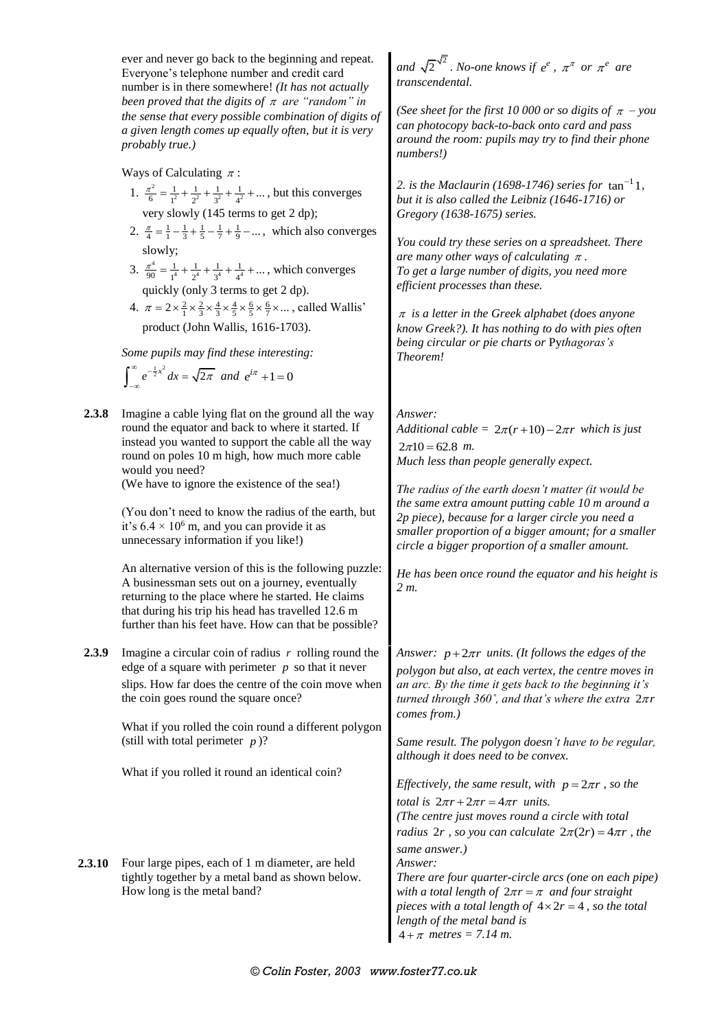|               | ever and never go back to the beginning and repeat.<br>Everyone's telephone number and credit card<br>number is in there somewhere! (It has not actually                                                                                                                                     | and $\sqrt{2}^{\sqrt{2}}$ . No-one knows if $e^e$ , $\pi^{\pi}$ or $\pi^e$ are<br>transcendental.                                                                                                                                                                        |  |
|---------------|----------------------------------------------------------------------------------------------------------------------------------------------------------------------------------------------------------------------------------------------------------------------------------------------|--------------------------------------------------------------------------------------------------------------------------------------------------------------------------------------------------------------------------------------------------------------------------|--|
|               | been proved that the digits of $\pi$ are "random" in<br>the sense that every possible combination of digits of<br>a given length comes up equally often, but it is very<br>probably true.)                                                                                                   | (See sheet for the first 10 000 or so digits of $\pi$ – you<br>can photocopy back-to-back onto card and pass<br>around the room: pupils may try to find their phone<br>numbers!)                                                                                         |  |
|               | Ways of Calculating $\pi$ :                                                                                                                                                                                                                                                                  |                                                                                                                                                                                                                                                                          |  |
|               | 1. $\frac{\pi^2}{6} = \frac{1}{1^2} + \frac{1}{2^2} + \frac{1}{3^2} + \frac{1}{4^2} + \dots$ , but this converges<br>very slowly (145 terms to get 2 dp);                                                                                                                                    | 2. is the Maclaurin (1698-1746) series for $tan^{-1}1$ ,<br>but it is also called the Leibniz (1646-1716) or<br>Gregory (1638-1675) series.                                                                                                                              |  |
|               | 2. $\frac{\pi}{4} = \frac{1}{1} - \frac{1}{3} + \frac{1}{5} - \frac{1}{7} + \frac{1}{9} - \dots$ , which also converges<br>slowly;<br>3. $\frac{\pi^4}{90} = \frac{1}{1^4} + \frac{1}{2^4} + \frac{1}{3^4} + \frac{1}{4^4} + \dots$ , which converges<br>quickly (only 3 terms to get 2 dp). | You could try these series on a spreadsheet. There<br>are many other ways of calculating $\pi$ .<br>To get a large number of digits, you need more<br>efficient processes than these.                                                                                    |  |
|               | 4. $\pi = 2 \times \frac{2}{1} \times \frac{2}{3} \times \frac{4}{3} \times \frac{4}{5} \times \frac{6}{5} \times \frac{6}{7} \times \dots$ , called Wallis'                                                                                                                                 |                                                                                                                                                                                                                                                                          |  |
|               | product (John Wallis, 1616-1703).                                                                                                                                                                                                                                                            | $\pi$ is a letter in the Greek alphabet (does anyone<br>know Greek?). It has nothing to do with pies often<br>being circular or pie charts or Pythagoras's                                                                                                               |  |
|               | Some pupils may find these interesting:<br>$\int_{-\infty}^{\infty} e^{-\frac{1}{2}x^2} dx = \sqrt{2\pi} \text{ and } e^{i\pi} + 1 = 0$                                                                                                                                                      | Theorem!                                                                                                                                                                                                                                                                 |  |
| 2.3.8         | Imagine a cable lying flat on the ground all the way<br>round the equator and back to where it started. If<br>instead you wanted to support the cable all the way                                                                                                                            | Answer:<br>Additional cable = $2\pi(r+10) - 2\pi r$ which is just                                                                                                                                                                                                        |  |
|               | round on poles 10 m high, how much more cable                                                                                                                                                                                                                                                | $2\pi 10 = 62.8$ m.                                                                                                                                                                                                                                                      |  |
|               | would you need?                                                                                                                                                                                                                                                                              | Much less than people generally expect.                                                                                                                                                                                                                                  |  |
|               | (We have to ignore the existence of the sea!)                                                                                                                                                                                                                                                |                                                                                                                                                                                                                                                                          |  |
|               | (You don't need to know the radius of the earth, but<br>it's $6.4 \times 10^6$ m, and you can provide it as<br>unnecessary information if you like!)                                                                                                                                         | The radius of the earth doesn't matter (it would be<br>the same extra amount putting cable 10 m around a<br>2p piece), because for a larger circle you need a<br>smaller proportion of a bigger amount; for a smaller<br>circle a bigger proportion of a smaller amount. |  |
|               | An alternative version of this is the following puzzle:<br>A businessman sets out on a journey, eventually<br>returning to the place where he started. He claims<br>that during his trip his head has travelled 12.6 m<br>further than his feet have. How can that be possible?              | He has been once round the equator and his height is<br>2 m.                                                                                                                                                                                                             |  |
| 2.3.9         | Imagine a circular coin of radius $r$ rolling round the<br>edge of a square with perimeter $p$ so that it never                                                                                                                                                                              | Answer: $p+2\pi r$ units. (It follows the edges of the<br>polygon but also, at each vertex, the centre moves in                                                                                                                                                          |  |
|               | slips. How far does the centre of the coin move when<br>the coin goes round the square once?                                                                                                                                                                                                 | an arc. By the time it gets back to the beginning it's<br>turned through 360°, and that's where the extra $2\pi r$                                                                                                                                                       |  |
|               | What if you rolled the coin round a different polygon<br>(still with total perimeter $p$ )?                                                                                                                                                                                                  | comes from.)<br>Same result. The polygon doesn't have to be regular,                                                                                                                                                                                                     |  |
|               | What if you rolled it round an identical coin?                                                                                                                                                                                                                                               | although it does need to be convex.<br>Effectively, the same result, with $p = 2\pi r$ , so the                                                                                                                                                                          |  |
|               |                                                                                                                                                                                                                                                                                              | <i>total is</i> $2\pi r + 2\pi r = 4\pi r$ <i>units.</i><br>(The centre just moves round a circle with total<br>radius $2r$ , so you can calculate $2\pi(2r) = 4\pi r$ , the                                                                                             |  |
|               |                                                                                                                                                                                                                                                                                              | same answer.)                                                                                                                                                                                                                                                            |  |
| <b>2.3.10</b> | Four large pipes, each of 1 m diameter, are held<br>tightly together by a metal band as shown below.<br>How long is the metal band?                                                                                                                                                          | Answer:<br>There are four quarter-circle arcs (one on each pipe)<br>with a total length of $2\pi r = \pi$ and four straight<br>pieces with a total length of $4 \times 2r = 4$ , so the total<br>length of the metal band is<br>$4 + \pi$ metres = 7.14 m.               |  |
|               |                                                                                                                                                                                                                                                                                              |                                                                                                                                                                                                                                                                          |  |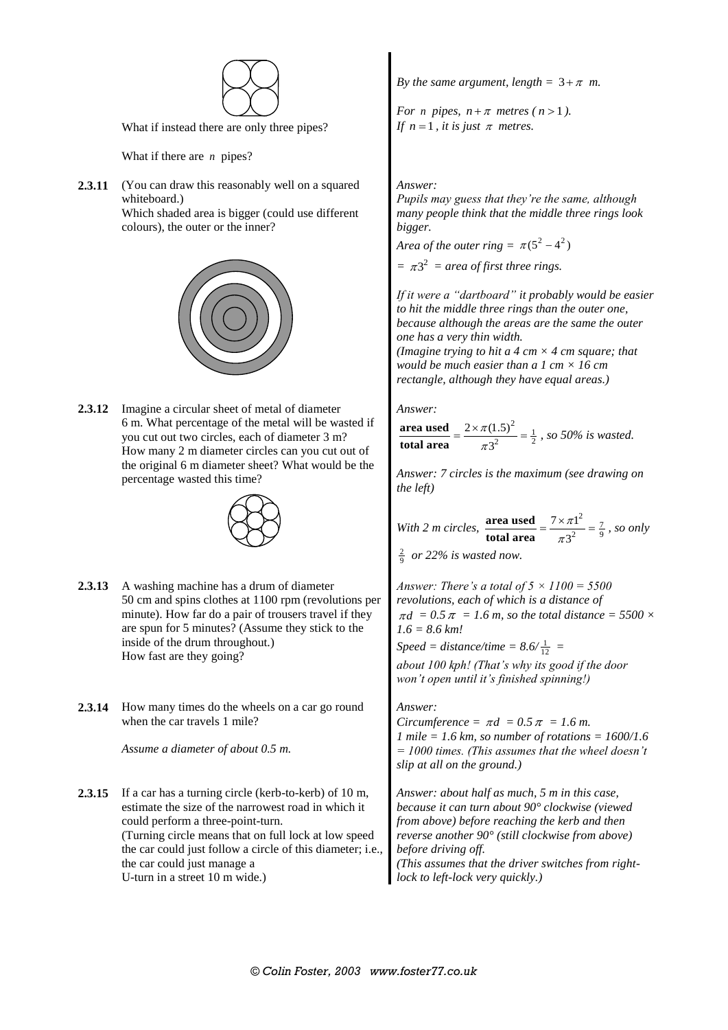

What if instead there are only three pipes?

What if there are *n* pipes?

**2.3.11** (You can draw this reasonably well on a squared whiteboard.) Which shaded area is bigger (could use different colours), the outer or the inner?



**2.3.12** Imagine a circular sheet of metal of diameter 6 m. What percentage of the metal will be wasted if you cut out two circles, each of diameter 3 m? How many 2 m diameter circles can you cut out of the original 6 m diameter sheet? What would be the percentage wasted this time?



- **2.3.13** A washing machine has a drum of diameter 50 cm and spins clothes at 1100 rpm (revolutions per minute). How far do a pair of trousers travel if they are spun for 5 minutes? (Assume they stick to the inside of the drum throughout.) How fast are they going?
- **2.3.14** How many times do the wheels on a car go round when the car travels 1 mile?

*Assume a diameter of about 0.5 m.*

**2.3.15** If a car has a turning circle (kerb-to-kerb) of 10 m, estimate the size of the narrowest road in which it could perform a three-point-turn. (Turning circle means that on full lock at low speed the car could just follow a circle of this diameter; i.e., the car could just manage a U-turn in a street 10 m wide.)

*By the same argument, length* =  $3 + \pi$  *m.* 

*For n* pipes,  $n + \pi$  metres ( $n > 1$ ). If  $n = 1$ , it is just  $\pi$  metres.

## *Answer:*

*Pupils may guess that they're the same, although many people think that the middle three rings look bigger.*

*Area of the outer ring* =  $\pi(5^2 - 4^2)$ 

 $= \pi 3^2$  = area of first three rings.

*If it were a "dartboard" it probably would be easier to hit the middle three rings than the outer one, because although the areas are the same the outer one has a very thin width. (Imagine trying to hit a 4 cm × 4 cm square; that would be much easier than a 1 cm × 16 cm rectangle, although they have equal areas.)*

*Answer:*

 $\frac{(1.5)^2}{2} = \frac{1}{2}$  $2 \times \pi(1.5)$ 3 **area used total area** π π  $=\frac{2\times\pi(1.5)^2}{2^2}=\frac{1}{2}$ , so 50% is wasted.

*Answer: 7 circles is the maximum (see drawing on the left)*

*With 2 m circles,*   $rac{z^{1^2}}{2} = \frac{7}{9}$  $7 \times \pi$ 3 **area used total area** π π  $=\frac{7\times \pi 1^2}{2^2} = \frac{7}{9}$ , so only

 $rac{2}{9}$  or 22% is wasted now.

*Answer: There's a total of 5 × 1100 = 5500 revolutions, each of which is a distance of*  $\pi d = 0.5 \pi = 1.6$  m, so the total distance = 5500  $\times$ *1.6 = 8.6 km!*

*Speed = distance/time =*  $8.6/\frac{1}{12}$  *=*  $\frac{1}{2}$  *=*  $\frac{1}{2}$  *=*  $\frac{1}{2}$  *=*  $\frac{1}{2}$  *=*  $\frac{1}{2}$  *=*  $\frac{1}{2}$  *=*  $\frac{1}{2}$  *=*  $\frac{1}{2}$  *=*  $\frac{1}{2}$  *=*  $\frac{1}{2}$  *=*  $\frac{1}{2}$  *=*  $\frac{1}{2}$  *=*  $\frac{1}{2}$  *=*  $\frac{1}{2}$  *=*  $\frac{1}{2}$  *=* 

*about 100 kph! (That's why its good if the door won't open until it's finished spinning!)*

*Answer:*

*Circumference* =  $\pi d = 0.5 \pi = 1.6 \, \text{m}$ . *1 mile = 1.6 km, so number of rotations = 1600/1.6 = 1000 times. (This assumes that the wheel doesn't slip at all on the ground.)*

*Answer: about half as much, 5 m in this case, because it can turn about 90° clockwise (viewed from above) before reaching the kerb and then reverse another 90° (still clockwise from above) before driving off.*

*(This assumes that the driver switches from rightlock to left-lock very quickly.)*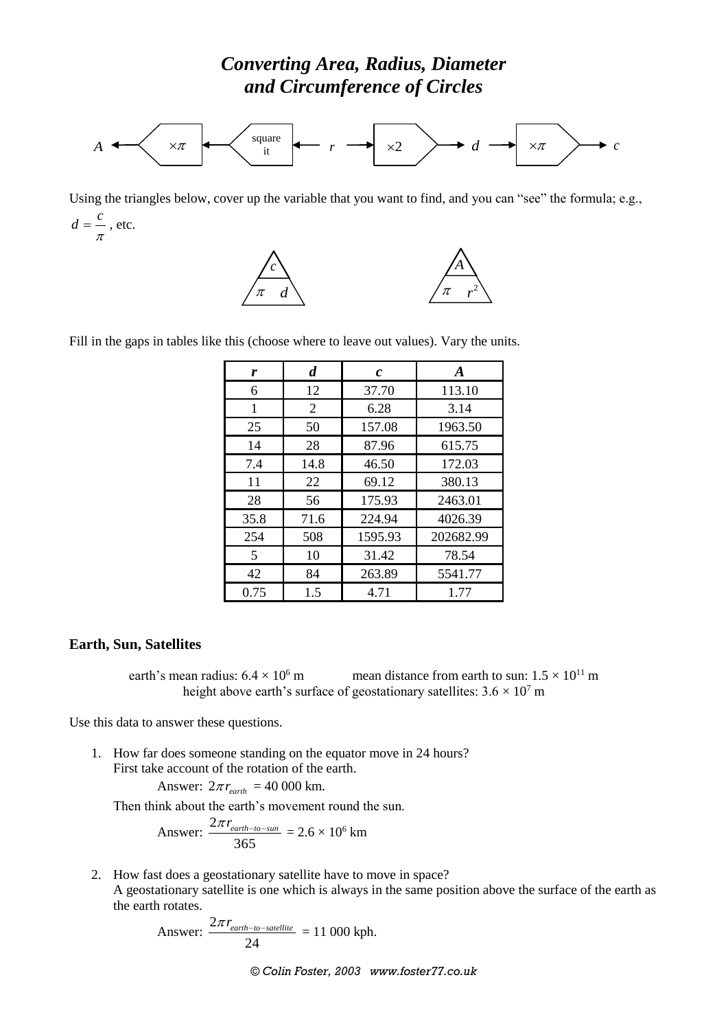

Using the triangles below, cover up the variable that you want to find, and you can "see" the formula; e.g.,  $d = \frac{c}{\pi}$ , etc.





Fill in the gaps in tables like this (choose where to leave out values). Vary the units.

| r    | d    | c       | A         |
|------|------|---------|-----------|
| 6    | 12   | 37.70   | 113.10    |
| 1    | 2    | 6.28    | 3.14      |
| 25   | 50   | 157.08  | 1963.50   |
| 14   | 28   | 87.96   | 615.75    |
| 7.4  | 14.8 | 46.50   | 172.03    |
| 11   | 22   | 69.12   | 380.13    |
| 28   | 56   | 175.93  | 2463.01   |
| 35.8 | 71.6 | 224.94  | 4026.39   |
| 254  | 508  | 1595.93 | 202682.99 |
| 5    | 10   | 31.42   | 78.54     |
| 42   | 84   | 263.89  | 5541.77   |
| 0.75 | 1.5  | 4.71    | 1.77      |

## **Earth, Sun, Satellites**

earth's mean radius:  $6.4 \times 10^6$  m mean distance from earth to sun:  $1.5 \times 10^{11}$  m height above earth's surface of geostationary satellites:  $3.6 \times 10^7$  m

Use this data to answer these questions.

1. How far does someone standing on the equator move in 24 hours? First take account of the rotation of the earth.

Answer: 
$$
2\pi r_{earth} = 40\,000 \text{ km.}
$$

Then think about the earth's movement round the sun.

Answer: 
$$
\frac{2\pi r_{earth-to-sun}}{365} = 2.6 \times 10^6 \text{ km}
$$

2. How fast does a geostationary satellite have to move in space? A geostationary satellite is one which is always in the same position above the surface of the earth as the earth rotates.

Answer: 
$$
\frac{2\pi r_{earth-to-satellite}}{24} = 11\,000\,\text{kph.}
$$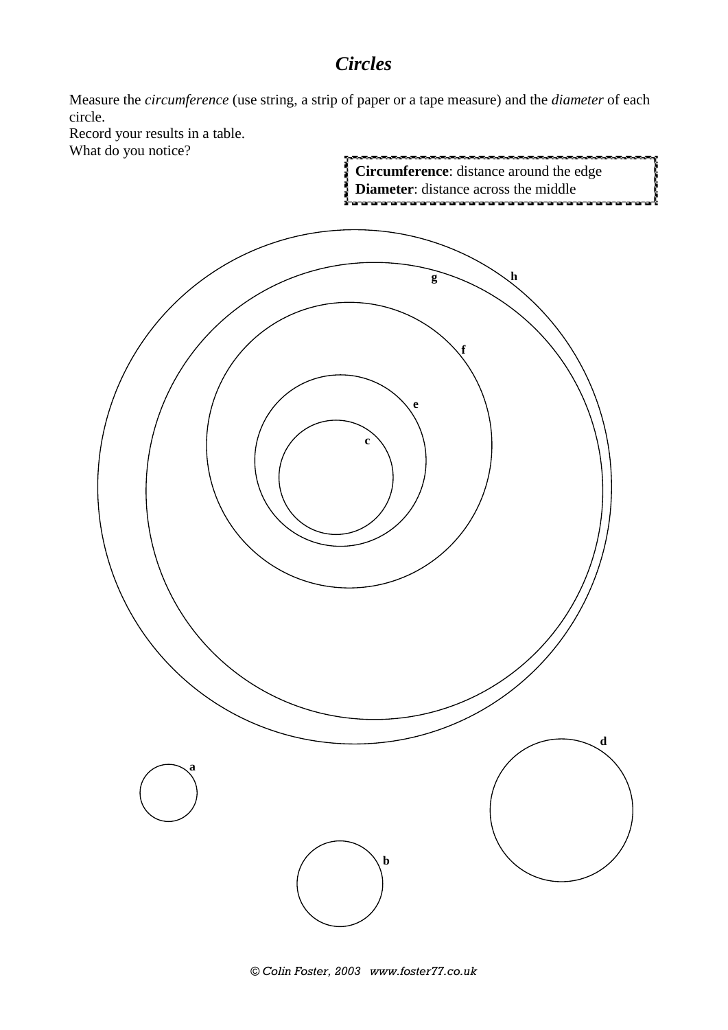## *Circles*

Measure the *circumference* (use string, a strip of paper or a tape measure) and the *diameter* of each circle.

Record your results in a table. What do you notice?





*© Colin Foster, 2003 www.foster77.co.uk*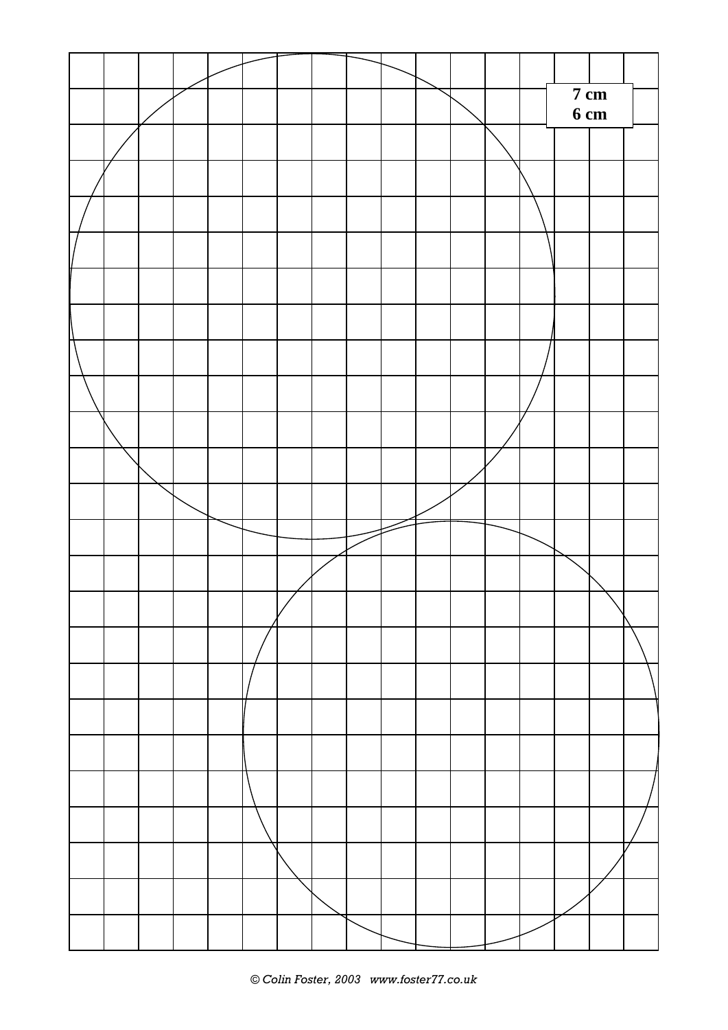